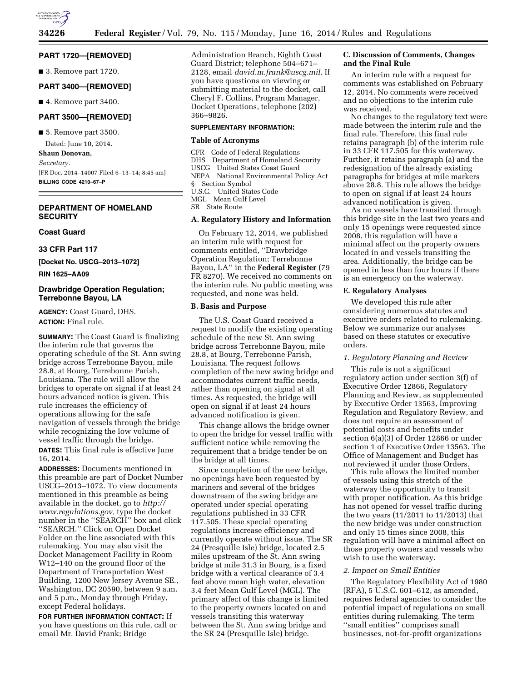

### **PART 1720—[REMOVED]**

■ 3. Remove part 1720.

### **PART 3400—[REMOVED]**

■ 4. Remove part 3400.

# **PART 3500—[REMOVED]**

■ 5. Remove part 3500.

Dated: June 10, 2014.

**Shaun Donovan,**  *Secretary.*  [FR Doc. 2014–14007 Filed 6–13–14; 8:45 am]

**BILLING CODE 4210–67–P** 

# **DEPARTMENT OF HOMELAND SECURITY**

# **Coast Guard**

**33 CFR Part 117** 

**[Docket No. USCG–2013–1072]** 

**RIN 1625–AA09** 

### **Drawbridge Operation Regulation; Terrebonne Bayou, LA**

**AGENCY:** Coast Guard, DHS. **ACTION:** Final rule.

**SUMMARY:** The Coast Guard is finalizing the interim rule that governs the operating schedule of the St. Ann swing bridge across Terrebonne Bayou, mile 28.8, at Bourg, Terrebonne Parish, Louisiana. The rule will allow the bridges to operate on signal if at least 24 hours advanced notice is given. This rule increases the efficiency of operations allowing for the safe navigation of vessels through the bridge while recognizing the low volume of vessel traffic through the bridge.

**DATES:** This final rule is effective June 16, 2014.

**ADDRESSES:** Documents mentioned in this preamble are part of Docket Number USCG–2013–1072. To view documents mentioned in this preamble as being available in the docket, go to *[http://](http://www.regulations.gov) [www.regulations.gov,](http://www.regulations.gov)* type the docket number in the ''SEARCH'' box and click ''SEARCH.'' Click on Open Docket Folder on the line associated with this rulemaking. You may also visit the Docket Management Facility in Room W12–140 on the ground floor of the Department of Transportation West Building, 1200 New Jersey Avenue SE., Washington, DC 20590, between 9 a.m. and 5 p.m., Monday through Friday, except Federal holidays.

**FOR FURTHER INFORMATION CONTACT:** If you have questions on this rule, call or email Mr. David Frank; Bridge

Administration Branch, Eighth Coast Guard District; telephone 504–671– 2128, email *[david.m.frank@uscg.mil.](mailto:david.m.frank@uscg.mil)* If you have questions on viewing or submitting material to the docket, call Cheryl F. Collins, Program Manager, Docket Operations, telephone (202) 366–9826.

### **SUPPLEMENTARY INFORMATION:**

## **Table of Acronyms**

CFR Code of Federal Regulations DHS Department of Homeland Security USCG United States Coast Guard NEPA National Environmental Policy Act § Section Symbol U.S.C. United States Code MGL Mean Gulf Level SR State Route

#### **A. Regulatory History and Information**

On February 12, 2014, we published an interim rule with request for comments entitled, ''Drawbridge Operation Regulation; Terrebonne Bayou, LA'' in the **Federal Register** (79 FR 8270). We received no comments on the interim rule. No public meeting was requested, and none was held.

### **B. Basis and Purpose**

The U.S. Coast Guard received a request to modify the existing operating schedule of the new St. Ann swing bridge across Terrebonne Bayou, mile 28.8, at Bourg, Terrebonne Parish, Louisiana. The request follows completion of the new swing bridge and accommodates current traffic needs, rather than opening on signal at all times. As requested, the bridge will open on signal if at least 24 hours advanced notification is given.

This change allows the bridge owner to open the bridge for vessel traffic with sufficient notice while removing the requirement that a bridge tender be on the bridge at all times.

Since completion of the new bridge, no openings have been requested by mariners and several of the bridges downstream of the swing bridge are operated under special operating regulations published in 33 CFR 117.505. These special operating regulations increase efficiency and currently operate without issue. The SR 24 (Presquille Isle) bridge, located 2.5 miles upstream of the St. Ann swing bridge at mile 31.3 in Bourg, is a fixed bridge with a vertical clearance of 3.4 feet above mean high water, elevation 3.4 feet Mean Gulf Level (MGL). The primary affect of this change is limited to the property owners located on and vessels transiting this waterway between the St. Ann swing bridge and the SR 24 (Presquille Isle) bridge.

#### **C. Discussion of Comments, Changes and the Final Rule**

An interim rule with a request for comments was established on February 12, 2014. No comments were received and no objections to the interim rule was received.

No changes to the regulatory text were made between the interim rule and the final rule. Therefore, this final rule retains paragraph (b) of the interim rule in 33 CFR 117.505 for this waterway. Further, it retains paragraph (a) and the redesignation of the already existing paragraphs for bridges at mile markers above 28.8. This rule allows the bridge to open on signal if at least 24 hours advanced notification is given.

As no vessels have transited through this bridge site in the last two years and only 15 openings were requested since 2008, this regulation will have a minimal affect on the property owners located in and vessels transiting the area. Additionally, the bridge can be opened in less than four hours if there is an emergency on the waterway.

#### **E. Regulatory Analyses**

We developed this rule after considering numerous statutes and executive orders related to rulemaking. Below we summarize our analyses based on these statutes or executive orders.

#### *1. Regulatory Planning and Review*

This rule is not a significant regulatory action under section 3(f) of Executive Order 12866, Regulatory Planning and Review, as supplemented by Executive Order 13563, Improving Regulation and Regulatory Review, and does not require an assessment of potential costs and benefits under section 6(a)(3) of Order 12866 or under section 1 of Executive Order 13563. The Office of Management and Budget has not reviewed it under those Orders.

This rule allows the limited number of vessels using this stretch of the waterway the opportunity to transit with proper notification. As this bridge has not opened for vessel traffic during the two years (11/2011 to 11/2013) that the new bridge was under construction and only 15 times since 2008, this regulation will have a minimal affect on those property owners and vessels who wish to use the waterway.

### *2. Impact on Small Entities*

The Regulatory Flexibility Act of 1980 (RFA), 5 U.S.C. 601–612, as amended, requires federal agencies to consider the potential impact of regulations on small entities during rulemaking. The term ''small entities'' comprises small businesses, not-for-profit organizations